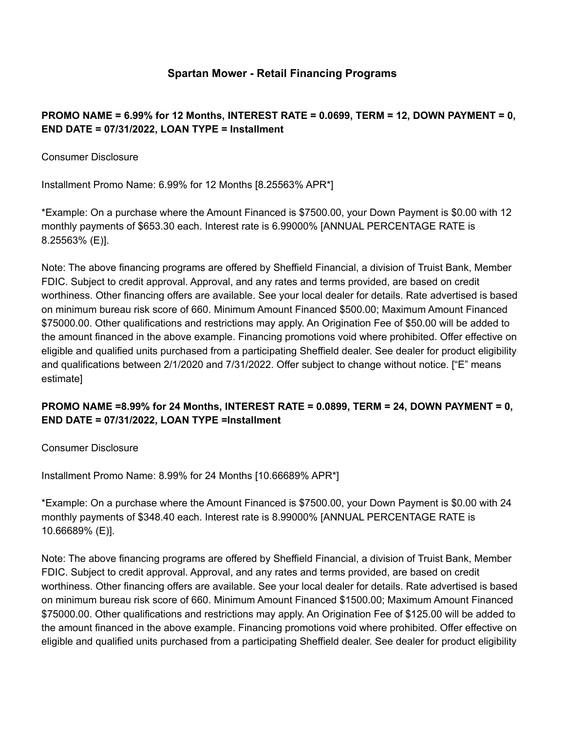### **Spartan Mower - Retail Financing Programs**

### **PROMO NAME = 6.99% for 12 Months, INTEREST RATE = 0.0699, TERM = 12, DOWN PAYMENT = 0, END DATE = 07/31/2022, LOAN TYPE = Installment**

Consumer Disclosure

Installment Promo Name: 6.99% for 12 Months [8.25563% APR\*]

\*Example: On a purchase where the Amount Financed is \$7500.00, your Down Payment is \$0.00 with 12 monthly payments of \$653.30 each. Interest rate is 6.99000% [ANNUAL PERCENTAGE RATE is 8.25563% (E)].

Note: The above financing programs are offered by Sheffield Financial, a division of Truist Bank, Member FDIC. Subject to credit approval. Approval, and any rates and terms provided, are based on credit worthiness. Other financing offers are available. See your local dealer for details. Rate advertised is based on minimum bureau risk score of 660. Minimum Amount Financed \$500.00; Maximum Amount Financed \$75000.00. Other qualifications and restrictions may apply. An Origination Fee of \$50.00 will be added to the amount financed in the above example. Financing promotions void where prohibited. Offer effective on eligible and qualified units purchased from a participating Sheffield dealer. See dealer for product eligibility and qualifications between 2/1/2020 and 7/31/2022. Offer subject to change without notice. ["E" means estimate]

# **PROMO NAME =8.99% for 24 Months, INTEREST RATE = 0.0899, TERM = 24, DOWN PAYMENT = 0, END DATE = 07/31/2022, LOAN TYPE =Installment**

Consumer Disclosure

Installment Promo Name: 8.99% for 24 Months [10.66689% APR\*]

\*Example: On a purchase where the Amount Financed is \$7500.00, your Down Payment is \$0.00 with 24 monthly payments of \$348.40 each. Interest rate is 8.99000% [ANNUAL PERCENTAGE RATE is 10.66689% (E)].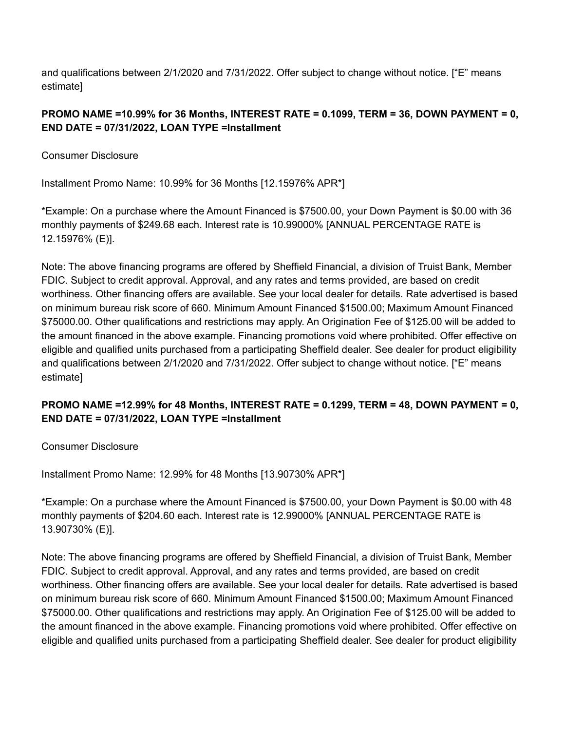## **PROMO NAME =10.99% for 36 Months, INTEREST RATE = 0.1099, TERM = 36, DOWN PAYMENT = 0, END DATE = 07/31/2022, LOAN TYPE =Installment**

Consumer Disclosure

Installment Promo Name: 10.99% for 36 Months [12.15976% APR\*]

\*Example: On a purchase where the Amount Financed is \$7500.00, your Down Payment is \$0.00 with 36 monthly payments of \$249.68 each. Interest rate is 10.99000% [ANNUAL PERCENTAGE RATE is 12.15976% (E)].

Note: The above financing programs are offered by Sheffield Financial, a division of Truist Bank, Member FDIC. Subject to credit approval. Approval, and any rates and terms provided, are based on credit worthiness. Other financing offers are available. See your local dealer for details. Rate advertised is based on minimum bureau risk score of 660. Minimum Amount Financed \$1500.00; Maximum Amount Financed \$75000.00. Other qualifications and restrictions may apply. An Origination Fee of \$125.00 will be added to the amount financed in the above example. Financing promotions void where prohibited. Offer effective on eligible and qualified units purchased from a participating Sheffield dealer. See dealer for product eligibility and qualifications between 2/1/2020 and 7/31/2022. Offer subject to change without notice. ["E" means estimate]

# **PROMO NAME =12.99% for 48 Months, INTEREST RATE = 0.1299, TERM = 48, DOWN PAYMENT = 0, END DATE = 07/31/2022, LOAN TYPE =Installment**

Consumer Disclosure

Installment Promo Name: 12.99% for 48 Months [13.90730% APR\*]

\*Example: On a purchase where the Amount Financed is \$7500.00, your Down Payment is \$0.00 with 48 monthly payments of \$204.60 each. Interest rate is 12.99000% [ANNUAL PERCENTAGE RATE is 13.90730% (E)].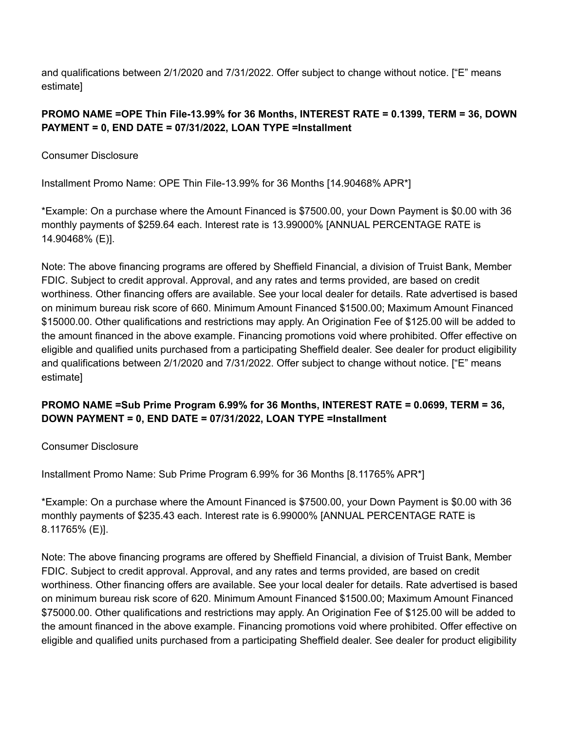## **PROMO NAME =OPE Thin File-13.99% for 36 Months, INTEREST RATE = 0.1399, TERM = 36, DOWN PAYMENT = 0, END DATE = 07/31/2022, LOAN TYPE =Installment**

Consumer Disclosure

Installment Promo Name: OPE Thin File-13.99% for 36 Months [14.90468% APR\*]

\*Example: On a purchase where the Amount Financed is \$7500.00, your Down Payment is \$0.00 with 36 monthly payments of \$259.64 each. Interest rate is 13.99000% [ANNUAL PERCENTAGE RATE is 14.90468% (E)].

Note: The above financing programs are offered by Sheffield Financial, a division of Truist Bank, Member FDIC. Subject to credit approval. Approval, and any rates and terms provided, are based on credit worthiness. Other financing offers are available. See your local dealer for details. Rate advertised is based on minimum bureau risk score of 660. Minimum Amount Financed \$1500.00; Maximum Amount Financed \$15000.00. Other qualifications and restrictions may apply. An Origination Fee of \$125.00 will be added to the amount financed in the above example. Financing promotions void where prohibited. Offer effective on eligible and qualified units purchased from a participating Sheffield dealer. See dealer for product eligibility and qualifications between 2/1/2020 and 7/31/2022. Offer subject to change without notice. ["E" means estimate]

# **PROMO NAME =Sub Prime Program 6.99% for 36 Months, INTEREST RATE = 0.0699, TERM = 36, DOWN PAYMENT = 0, END DATE = 07/31/2022, LOAN TYPE =Installment**

Consumer Disclosure

Installment Promo Name: Sub Prime Program 6.99% for 36 Months [8.11765% APR\*]

\*Example: On a purchase where the Amount Financed is \$7500.00, your Down Payment is \$0.00 with 36 monthly payments of \$235.43 each. Interest rate is 6.99000% [ANNUAL PERCENTAGE RATE is 8.11765% (E)].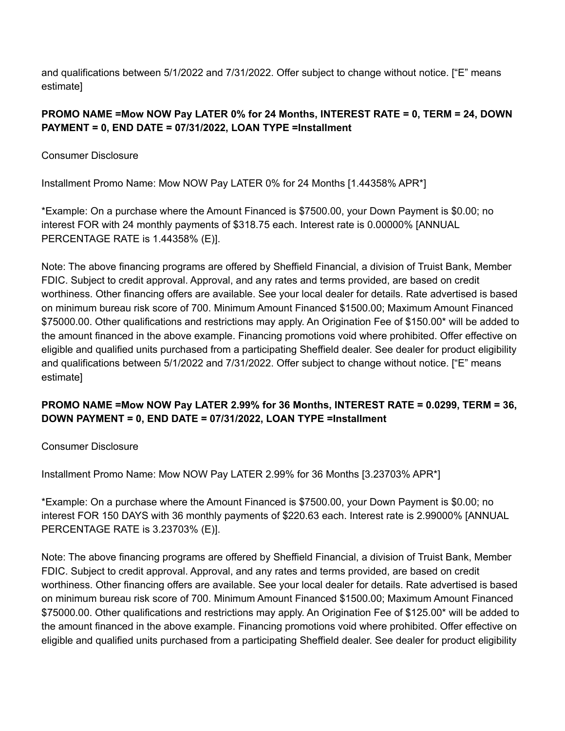## **PROMO NAME =Mow NOW Pay LATER 0% for 24 Months, INTEREST RATE = 0, TERM = 24, DOWN PAYMENT = 0, END DATE = 07/31/2022, LOAN TYPE =Installment**

Consumer Disclosure

Installment Promo Name: Mow NOW Pay LATER 0% for 24 Months [1.44358% APR\*]

\*Example: On a purchase where the Amount Financed is \$7500.00, your Down Payment is \$0.00; no interest FOR with 24 monthly payments of \$318.75 each. Interest rate is 0.00000% [ANNUAL PERCENTAGE RATE is 1.44358% (E)].

Note: The above financing programs are offered by Sheffield Financial, a division of Truist Bank, Member FDIC. Subject to credit approval. Approval, and any rates and terms provided, are based on credit worthiness. Other financing offers are available. See your local dealer for details. Rate advertised is based on minimum bureau risk score of 700. Minimum Amount Financed \$1500.00; Maximum Amount Financed \$75000.00. Other qualifications and restrictions may apply. An Origination Fee of \$150.00\* will be added to the amount financed in the above example. Financing promotions void where prohibited. Offer effective on eligible and qualified units purchased from a participating Sheffield dealer. See dealer for product eligibility and qualifications between 5/1/2022 and 7/31/2022. Offer subject to change without notice. ["E" means estimate]

# **PROMO NAME =Mow NOW Pay LATER 2.99% for 36 Months, INTEREST RATE = 0.0299, TERM = 36, DOWN PAYMENT = 0, END DATE = 07/31/2022, LOAN TYPE =Installment**

Consumer Disclosure

Installment Promo Name: Mow NOW Pay LATER 2.99% for 36 Months [3.23703% APR\*]

\*Example: On a purchase where the Amount Financed is \$7500.00, your Down Payment is \$0.00; no interest FOR 150 DAYS with 36 monthly payments of \$220.63 each. Interest rate is 2.99000% [ANNUAL PERCENTAGE RATE is 3.23703% (E)].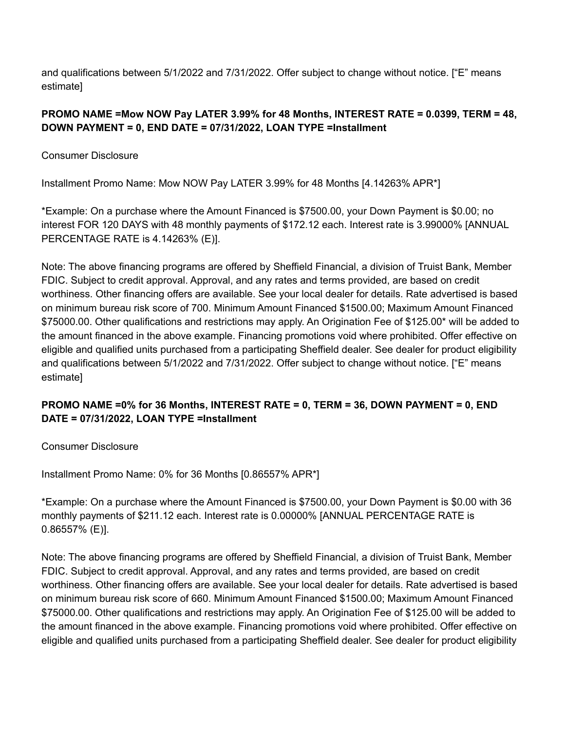### **PROMO NAME =Mow NOW Pay LATER 3.99% for 48 Months, INTEREST RATE = 0.0399, TERM = 48, DOWN PAYMENT = 0, END DATE = 07/31/2022, LOAN TYPE =Installment**

Consumer Disclosure

Installment Promo Name: Mow NOW Pay LATER 3.99% for 48 Months [4.14263% APR\*]

\*Example: On a purchase where the Amount Financed is \$7500.00, your Down Payment is \$0.00; no interest FOR 120 DAYS with 48 monthly payments of \$172.12 each. Interest rate is 3.99000% [ANNUAL PERCENTAGE RATE is 4.14263% (E)].

Note: The above financing programs are offered by Sheffield Financial, a division of Truist Bank, Member FDIC. Subject to credit approval. Approval, and any rates and terms provided, are based on credit worthiness. Other financing offers are available. See your local dealer for details. Rate advertised is based on minimum bureau risk score of 700. Minimum Amount Financed \$1500.00; Maximum Amount Financed \$75000.00. Other qualifications and restrictions may apply. An Origination Fee of \$125.00\* will be added to the amount financed in the above example. Financing promotions void where prohibited. Offer effective on eligible and qualified units purchased from a participating Sheffield dealer. See dealer for product eligibility and qualifications between 5/1/2022 and 7/31/2022. Offer subject to change without notice. ["E" means estimate]

# **PROMO NAME =0% for 36 Months, INTEREST RATE = 0, TERM = 36, DOWN PAYMENT = 0, END DATE = 07/31/2022, LOAN TYPE =Installment**

Consumer Disclosure

Installment Promo Name: 0% for 36 Months [0.86557% APR\*]

\*Example: On a purchase where the Amount Financed is \$7500.00, your Down Payment is \$0.00 with 36 monthly payments of \$211.12 each. Interest rate is 0.00000% [ANNUAL PERCENTAGE RATE is 0.86557% (E)].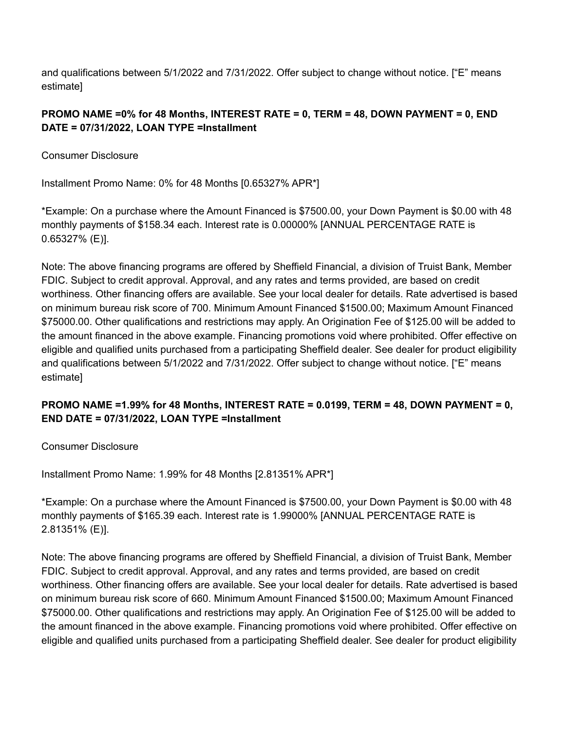## **PROMO NAME =0% for 48 Months, INTEREST RATE = 0, TERM = 48, DOWN PAYMENT = 0, END DATE = 07/31/2022, LOAN TYPE =Installment**

Consumer Disclosure

Installment Promo Name: 0% for 48 Months [0.65327% APR\*]

\*Example: On a purchase where the Amount Financed is \$7500.00, your Down Payment is \$0.00 with 48 monthly payments of \$158.34 each. Interest rate is 0.00000% [ANNUAL PERCENTAGE RATE is 0.65327% (E)].

Note: The above financing programs are offered by Sheffield Financial, a division of Truist Bank, Member FDIC. Subject to credit approval. Approval, and any rates and terms provided, are based on credit worthiness. Other financing offers are available. See your local dealer for details. Rate advertised is based on minimum bureau risk score of 700. Minimum Amount Financed \$1500.00; Maximum Amount Financed \$75000.00. Other qualifications and restrictions may apply. An Origination Fee of \$125.00 will be added to the amount financed in the above example. Financing promotions void where prohibited. Offer effective on eligible and qualified units purchased from a participating Sheffield dealer. See dealer for product eligibility and qualifications between 5/1/2022 and 7/31/2022. Offer subject to change without notice. ["E" means estimate]

# **PROMO NAME =1.99% for 48 Months, INTEREST RATE = 0.0199, TERM = 48, DOWN PAYMENT = 0, END DATE = 07/31/2022, LOAN TYPE =Installment**

Consumer Disclosure

Installment Promo Name: 1.99% for 48 Months [2.81351% APR\*]

\*Example: On a purchase where the Amount Financed is \$7500.00, your Down Payment is \$0.00 with 48 monthly payments of \$165.39 each. Interest rate is 1.99000% [ANNUAL PERCENTAGE RATE is 2.81351% (E)].